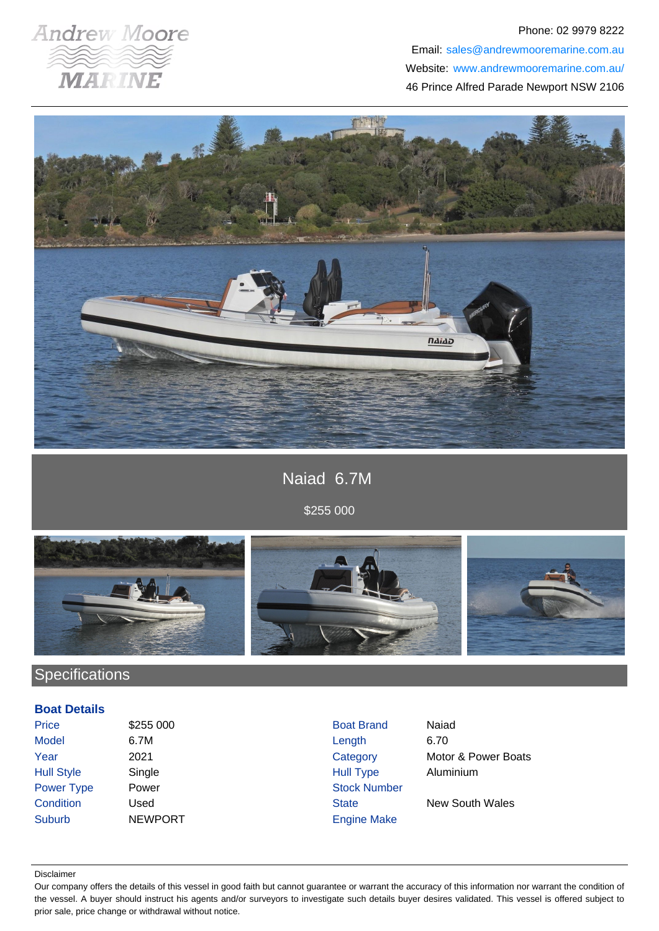

### Phone: 02 9979 8222 Email: sales@andrewmooremarine.com.au Website: www.andrewmooremarine.com.au/ 46 Prince Alfred Parade Newport NSW 2106



## Naiad 6.7M

\$255 000



# **Specifications**

#### **Boat Details**

| <b>Price</b>      | \$255 000      | <b>Boat Brand</b>   | Naiad                  |
|-------------------|----------------|---------------------|------------------------|
| <b>Model</b>      | 6.7M           | Length              | 6.70                   |
| Year              | 2021           | Category            | Motor & Power Boats    |
| <b>Hull Style</b> | Single         | <b>Hull Type</b>    | Aluminium              |
| Power Type        | Power          | <b>Stock Number</b> |                        |
| Condition         | Used           | <b>State</b>        | <b>New South Wales</b> |
| <b>Suburb</b>     | <b>NEWPORT</b> | <b>Engine Make</b>  |                        |
|                   |                |                     |                        |

#### Disclaimer

Our company offers the details of this vessel in good faith but cannot guarantee or warrant the accuracy of this information nor warrant the condition of the vessel. A buyer should instruct his agents and/or surveyors to investigate such details buyer desires validated. This vessel is offered subject to prior sale, price change or withdrawal without notice.